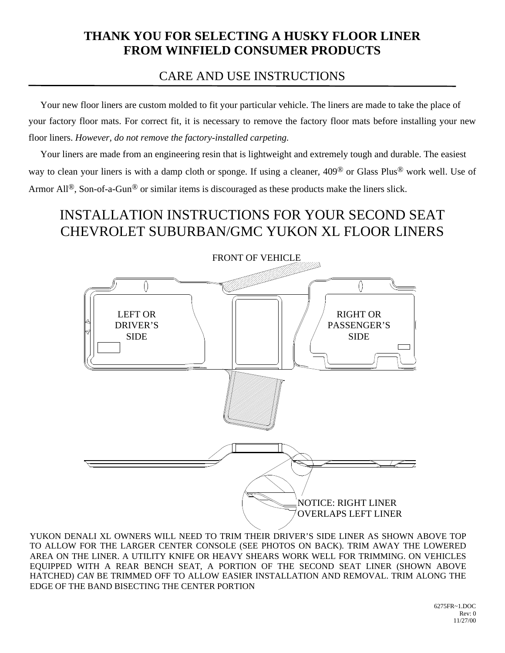## **THANK YOU FOR SELECTING A HUSKY FLOOR LINER FROM WINFIELD CONSUMER PRODUCTS**

## CARE AND USE INSTRUCTIONS

 Your new floor liners are custom molded to fit your particular vehicle. The liners are made to take the place of your factory floor mats. For correct fit, it is necessary to remove the factory floor mats before installing your new floor liners. *However, do not remove the factory-installed carpeting.*

 Your liners are made from an engineering resin that is lightweight and extremely tough and durable. The easiest way to clean your liners is with a damp cloth or sponge. If using a cleaner, 409® or Glass Plus® work well. Use of Armor All<sup>®</sup>, Son-of-a-Gun<sup>®</sup> or similar items is discouraged as these products make the liners slick.

## INSTALLATION INSTRUCTIONS FOR YOUR SECOND SEAT CHEVROLET SUBURBAN/GMC YUKON XL FLOOR LINERS



YUKON DENALI XL OWNERS WILL NEED TO TRIM THEIR DRIVER'S SIDE LINER AS SHOWN ABOVE TOP TO ALLOW FOR THE LARGER CENTER CONSOLE (SEE PHOTOS ON BACK). TRIM AWAY THE LOWERED AREA ON THE LINER. A UTILITY KNIFE OR HEAVY SHEARS WORK WELL FOR TRIMMING. ON VEHICLES EQUIPPED WITH A REAR BENCH SEAT, A PORTION OF THE SECOND SEAT LINER (SHOWN ABOVE HATCHED) *CAN* BE TRIMMED OFF TO ALLOW EASIER INSTALLATION AND REMOVAL. TRIM ALONG THE EDGE OF THE BAND BISECTING THE CENTER PORTION